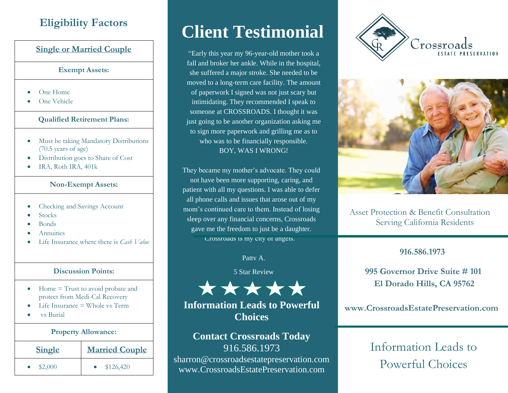# **Eligibility Factors**

### **Single or Married Couple**

#### **Exempt Assets:**

- One Home
- One Vehicle

#### **Qualified Retirement Plans:**

- Must be taking Mandatory Distributions (70.5 years of age)
- Distribution goes to Share of Cost
- IRA, Roth IRA, 401k

#### **Non-Exempt Assets:**

- Checking and Savings Account
- Stocks
- Bonds
- Annuities
- Life Insurance where there is *Cash Value*

#### **Discussion Points:**

- Home = Trust to avoid probate and protect from Medi-Cal Recovery
- Life Insurance = Whole vs Term
- vs Burial

# **Property Allowance: Single Married Couple**  $$2,000$  • \$126,420

# **Client Testimonial**

"Early this year my 96-year-old mother took a fall and broker her ankle. While in the hospital, she suffered a major stroke. She needed to be moved to a long-term care facility. The amount of paperwork I signed was not just scary but intimidating. They recommended I speak to someone at CROSSROADS. I thought it was just going to be another organization asking me to sign more paperwork and grilling me as to who was to be financially responsible. BOY, WAS I WRONG!

They became my mother's advocate. They could not have been more supporting, caring, and patient with all my questions. I was able to defer all phone calls and issues that arose out of my mom's continued care to them. Instead of losing sleep over any financial concerns, Crossroads gave me the freedom to just be a daughter. Crossroads is my city of angels.

Patty A.

5 Star Review



## **Information Leads to Powerful www.CrossroadsEstatePreservation.com Choices**

# **Contact Crossroads Today**  916.586.1973

sharron@crossroadsestatepreservation.com www.CrossroadsEstatePreservation.com





Asset Protection & Benefit Consultation Serving California Residents

### **916.586.1973**

 **995 Governor Drive Suite # 101 El Dorado Hills, CA 95762**

Information Leads to Powerful Choices